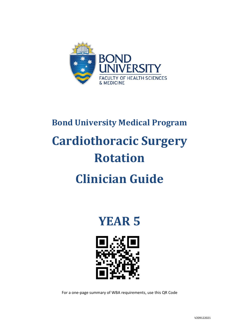

# **Bond University Medical Program Cardiothoracic Surgery Rotation Clinician Guide**

**YEAR 5**



For a one-page summary of WBA requirements, use this QR Code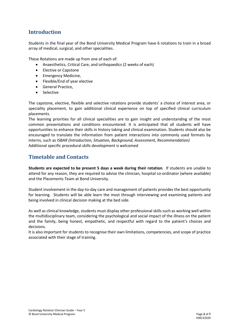## **Introduction**

Students in the final year of the Bond University Medical Program have 6 rotations to train in a broad array of medical, surgical, and other specialities.

These Rotations are made up from one of each of:

- Anaesthetics, Critical Care, and orthopaedics (2 weeks of each)
- Elective or Capstone
- Emergency Medicine,
- Flexible/End of year elective
- General Practice,
- **Selective**

The capstone, elective, flexible and selective rotations provide students' a choice of interest area, or speciality placement, to gain additional clinical experience on top of specified clinical curriculum placements.

The learning priorities for all clinical specialities are to gain insight and understanding of the most common presentations and conditions encountered. It is anticipated that all students will have opportunities to enhance their skills in history taking and clinical examination. Students should also be encouraged to translate the information from patient interactions into commonly used formats by interns, such as *ISBAR (Introduction, Situation, Background, Assessment, Recommendation)* Additional specific procedural skills development is welcomed

### **Timetable and Contacts**

**Students are expected to be present 5 days a week during their rotation**. If students are unable to attend for any reason, they are required to advise the clinician, hospital co-ordinator (where available) and the Placements Team at Bond University.

Student involvement in the day-to-day care and management of patients provides the best opportunity for learning. Students will be able learn the most through interviewing and examining patients and being involved in clinical decision making at the bed side.

As well as clinical knowledge, students must display other professional skills such as working well within the multidisciplinary team, considering the psychological and social impact of the illness on the patient and the family, being honest, empathetic, and respectful with regard to the patient's choices and decisions.

It is also important for students to recognise their own limitations, competencies, and scope of practice associated with their stage of training.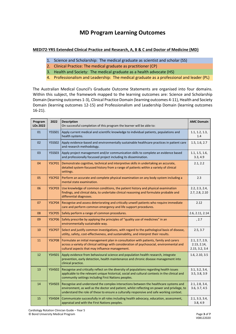# **MD Program Learning Outcomes**

#### **MEDI72-YR5 Extended Clinical Practice and Research, A, B & C and Doctor of Medicine (MD)**

- 1. Science and Scholarship: The medical graduate as scientist and scholar (SS)
- 2. Clinical Practice: The medical graduate as practitioner (CP)
- 3. Health and Society: The medical graduate as a health advocate (HS)
- 4. Professionalism and Leadership: The medical graduate as a professional and leader (PL)

The Australian Medical Council's Graduate Outcome Statements are organised into four domains. Within this subject, the framework mapped to the learning outcomes are: Science and Scholarship Domain (learning outcomes 1-3), Clinical Practice Domain (learning outcomes 4-11), Health and Society Domain (learning outcomes 12-15) and Professionalism and Leadership Domain (learning outcomes 16-21).

| Program<br><b>LOs 2022</b> | 2022          | <b>Description</b><br>On successful completion of this program the learner will be able to:                                                                                                                                                                                      |                                                 |
|----------------------------|---------------|----------------------------------------------------------------------------------------------------------------------------------------------------------------------------------------------------------------------------------------------------------------------------------|-------------------------------------------------|
| 01                         | <b>Y5SS01</b> | Apply current medical and scientific knowledge to individual patients, populations and<br>health systems.                                                                                                                                                                        |                                                 |
| 02                         | <b>Y5SS02</b> | Apply evidence-based and environmentally sustainable healthcare practices in patient care<br>and research methodology.                                                                                                                                                           |                                                 |
| 03                         | <b>Y5SS03</b> | Apply project management and/or communication skills to complete an evidence based<br>and professionally focussed project including its dissemination.                                                                                                                           | 1.1, 1.5, 1.6,<br>3.3, 4.9                      |
| 04                         | <b>Y5CP01</b> | Demonstrate cognitive, technical and interpretive skills in undertaking an accurate,<br>detailed system-focussed history from a range of patients within a variety of clinical<br>settings.                                                                                      | 2.1, 2.2                                        |
| 05                         | <b>Y5CP02</b> | Perform an accurate and complete physical examination on any body system including a<br>mental state examination.                                                                                                                                                                | 2.3                                             |
| 06                         | <b>Y5CP03</b> | Use knowledge of common conditions, the patient history and physical examination<br>findings, and clinical data, to undertake clinical reasoning and formulate probable and<br>differential diagnoses.                                                                           | 2.2, 2.3, 2.4,<br>2.7, 2.8, 2.10                |
| 07                         | <b>Y5CP04</b> | Recognise and assess deteriorating and critically unwell patients who require immediate<br>care and perform common emergency and life support procedures.                                                                                                                        | 2.12                                            |
| 08                         | <b>Y5CP05</b> | Safely perform a range of common procedures.                                                                                                                                                                                                                                     | 2.6, 2.11, 2.14                                 |
| 09                         | <b>Y5CP06</b> | Safely prescribe by applying the principles of "quality use of medicines" in an<br>environmentally sustainable way.                                                                                                                                                              | , 2.7                                           |
| 10                         | <b>Y5CP07</b> | Select and justify common investigations, with regard to the pathological basis of disease,<br>utility, safety, cost-effectiveness, and sustainability, and interpret their results.                                                                                             | 2.5, 3.7                                        |
| 11                         | <b>Y5CP08</b> | Formulate an initial management plan in consultation with patients, family and carers<br>across a variety of clinical settings with consideration of psychosocial, environmental and<br>cultural aspects that may influence management.                                          | 2.1, 2.7, 2.9,<br>2.13, 2.14,<br>2.15, 3.2, 3.4 |
| 12                         | <b>Y5HS01</b> | Apply evidence from behavioural science and population health research, integrate<br>prevention, early detection, health maintenance and chronic disease management into<br>clinical practice.                                                                                   | 1.6, 2.10, 3.5                                  |
| 13                         | <b>Y5HS02</b> | Recognise and critically reflect on the diversity of populations regarding health issues<br>applicable to the relevant unique historical, social and cultural contexts in the clinical and<br>community settings including First Nations peoples.                                | 3.1, 3.2, 3.4,<br>3.5, 3.8, 3.9                 |
| 14                         | <b>Y5HS03</b> | Recognise and understand the complex interactions between the healthcare systems and<br>environment, as well as the doctor and patient, whilst reflecting on power and privilege, to<br>understand the role of these to ensure a culturally responsive and safe working context. | 2.1, 2.8, 3.4,<br>3.6, 3.7, 4.5                 |
| 15                         | <b>Y5HS04</b> | Communicate successfully in all roles including health advocacy, education, assessment,<br>appraisal and with the First Nations peoples.                                                                                                                                         | 2.1, 3.3, 3.4,<br>3.8, 4.9                      |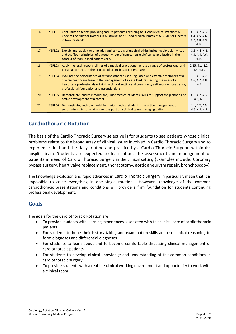| 16 | Y5PL01 | Contribute to teams providing care to patients according to "Good Medical Practice: A<br>Code of Conduct for Doctors in Australia" and "Good Medical Practice: A Guide for Doctors<br>in New Zealand"                                                                                                                            | 4.1, 4.2, 4.3,<br>4.4, 4.5, 4.6,<br>4.7, 4.8, 4.9,<br>4.10 |
|----|--------|----------------------------------------------------------------------------------------------------------------------------------------------------------------------------------------------------------------------------------------------------------------------------------------------------------------------------------|------------------------------------------------------------|
| 17 | Y5PL02 | Explain and apply the principles and concepts of medical ethics including physician virtue<br>and the 'four principles' of autonomy, beneficence, non-maleficence and justice in the<br>context of team-based patient care.                                                                                                      | 3.6, 4.1, 4.2,<br>4.3, 4.4, 4.6,<br>4.10                   |
| 18 | Y5PL03 | Apply the legal responsibilities of a medical practitioner across a range of professional and<br>personal contexts in the practice of team-based patient-care.                                                                                                                                                                   | 2.15, 4.1, 4.2,<br>4.3, 4.10                               |
| 19 | Y5PL04 | Evaluate the performance of self and others as self-regulated and effective members of a<br>diverse healthcare team in the management of a case load, respecting the roles of all<br>healthcare professionals within the clinical setting and community settings, demonstrating<br>professional foundation and essential skills. | 3.1, 4.1, 4.2,<br>4.6, 4.7, 4.8,<br>4.9                    |
| 20 | Y5PL05 | Demonstrate, and role model for junior medical students, skills to support the planned and<br>active development of a career.                                                                                                                                                                                                    | 4.1, 4.2, 4.3,<br>4.8, 4.9                                 |
| 21 | Y5PL06 | Demonstrate, and role model for junior medical students, the active management of<br>selfcare in a clinical environment as part of a clinical team managing patients.                                                                                                                                                            | 4.1, 4.2, 4.5,<br>4.6, 4.7, 4.9                            |

## **Cardiothoracic Rotation**

The basis of the Cardio Thoracic Surgery selective is for students to see patients whose clinical problems relate to the broad array of clinical issues involved in Cardio Thoracic Surgery and to experience firsthand the daily routine and practice by a Cardio Thoracic Surgeon within the hospital team. Students are expected to learn about the assessment and management of patients in need of Cardio Thoracic Surgery in the clinical setting (Examples include: Coronary bypass surgery, heart valve replacement, thoracotomy, aortic aneurysm repair, bronchoscopy).

The knowledge explosion and rapid advances in Cardio Thoracic Surgery in particular, mean that it is impossible to cover everything in one single rotation. However, knowledge of the common cardiothoracic presentations and conditions will provide a firm foundation for students continuing professional development.

#### **Goals**

The goals for the Cardiothoracic Rotation are:

- To provide students with learning experiences associated with the clinical care of cardiothoracic patients
- For students to hone their history taking and examination skills and use clinical reasoning to form diagnoses and differential diagnoses
- For students to learn about and to become comfortable discussing clinical management of cardiothoracic patients
- For students to develop clinical knowledge and understanding of the common conditions in cardiothoracic surgery
- To provide students with a real-life clinical working environment and opportunity to work with a clinical team.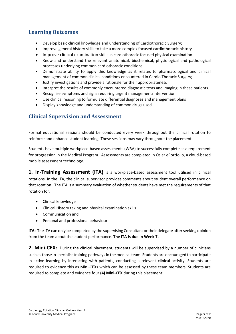## **Learning Outcomes**

- Develop basic clinical knowledge and understanding of Cardiothoracic Surgery;
- Improve general history skills to take a more complex focused cardiothoracic history
- Improve clinical examination skills in cardiothoracic focused physical examination
- Know and understand the relevant anatomical, biochemical, physiological and pathological processes underlying common cardiothoracic conditions
- Demonstrate ability to apply this knowledge as it relates to pharmacological and clinical management of common clinical conditions encountered in Cardio Thoracic Surgery;
- Justify investigations and provide a rationale for their appropriateness
- Interpret the results of commonly encountered diagnostic tests and imaging in these patients.
- Recognise symptoms and signs requiring urgent management/intervention
- Use clinical reasoning to formulate differential diagnoses and management plans
- Display knowledge and understanding of common drugs used

## **Clinical Supervision and Assessment**

Formal educational sessions should be conducted every week throughout the clinical rotation to reinforce and enhance student learning. These sessions may vary throughout the placement.

Students have multiple workplace-based assessments (WBA) to successfully complete as a requirement for progression in the Medical Program. Assessments are completed in Osler ePortfolio, a cloud-based mobile assessment technology.

**1. In-Training Assessment (ITA)** is a workplace-based assessment tool utilised in clinical rotations. In the ITA, the clinical supervisor provides comments about student overall performance on that rotation. The ITA is a summary evaluation of whether students have met the requirements of that rotation for:

- Clinical knowledge
- Clinical History taking and physical examination skills
- Communication and
- Personal and professional behaviour

**ITA:** The ITA can only be completed by the supervising Consultant or their delegate after seeking opinion from the team about the student performance. **The ITA is due in Week 7.**

2. Mini-CEX: During the clinical placement, students will be supervised by a number of clinicians such as those in specialist training pathways in the medical team. Students are encouraged to participate in active learning by interacting with patients, conducting a relevant clinical activity. Students are required to evidence this as Mini-CEXs which can be assessed by these team members. Students are required to complete and evidence four **(4) Mini-CEX** during this placement: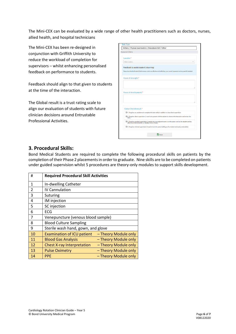The Mini-CEX can be evaluated by a wide range of other health practitioners such as doctors, nurses, allied health, and hospital technicians

The Mini-CEX has been re-designed in conjunction with Griffith University to reduce the workload of completion for supervisors – whilst enhancing personalised feedback on performance to students.

Feedback should align to that given to students at the time of the interaction.

The Global result is a trust rating scale to align our evaluation of students with future clinician decisions around Entrustable Professional Activities.

|           | Assessment Criteria                                                                                                                                                     |
|-----------|-------------------------------------------------------------------------------------------------------------------------------------------------------------------------|
| Location* |                                                                                                                                                                         |
|           | Select Location                                                                                                                                                         |
|           | Feedback to assist student's learning:                                                                                                                                  |
|           | Please describe the Student's Performance: what was effective and ineffective, your overall impression and any specific feedback.                                       |
|           | Areas of strength:*                                                                                                                                                     |
|           |                                                                                                                                                                         |
|           |                                                                                                                                                                         |
|           | Areas of development:*                                                                                                                                                  |
|           |                                                                                                                                                                         |
|           |                                                                                                                                                                         |
|           |                                                                                                                                                                         |
|           | Global Overall result:*                                                                                                                                                 |
|           | O 1. Requires my assistance to complete this task safely in addition to close direct supervision                                                                        |
|           | O 2. Requires direct supervision (I need to be present with the student to observe the interaction and review the<br>task)                                              |
|           |                                                                                                                                                                         |
|           | O 3. Requires proximal supervision (I need to be in an adjacent room or on the same ward as the student and be<br>able to provide immediate or detailed review of task) |
|           | O 4. Requires minimal supervision (I need to be in the same building as the student and easily contactable)                                                             |

#### **3. Procedural Skills:**

Bond Medical Students are required to complete the following procedural skills on patients by the completion of their Phase 2 placements in order to graduate. Nine skills are to be completed on patients under guided supervision whilst 5 procedures are theory-only modules to support skills development.

| #              | <b>Required Procedural Skill Activities</b> |                      |  |
|----------------|---------------------------------------------|----------------------|--|
| 1              | In-dwelling Catheter                        |                      |  |
| $\overline{2}$ | IV Cannulation                              |                      |  |
| 3              | Suturing                                    |                      |  |
| 4              | IM injection                                |                      |  |
| 5              | SC injection                                |                      |  |
| 6              | ECG                                         |                      |  |
| 7              | Venepuncture (venous blood sample)          |                      |  |
| 8              | <b>Blood Culture Sampling</b>               |                      |  |
| 9              | Sterile wash hand, gown, and glove          |                      |  |
| 10             | <b>Examination of ICU patient</b>           | - Theory Module only |  |
| 11             | <b>Blood Gas Analysis</b>                   | - Theory Module only |  |
| 12             | <b>Chest X-ray Interpretation</b>           | - Theory Module only |  |
| 13             | <b>Pulse Oximetry</b>                       | - Theory Module only |  |
| 14             | <b>PPE</b>                                  | - Theory Module only |  |